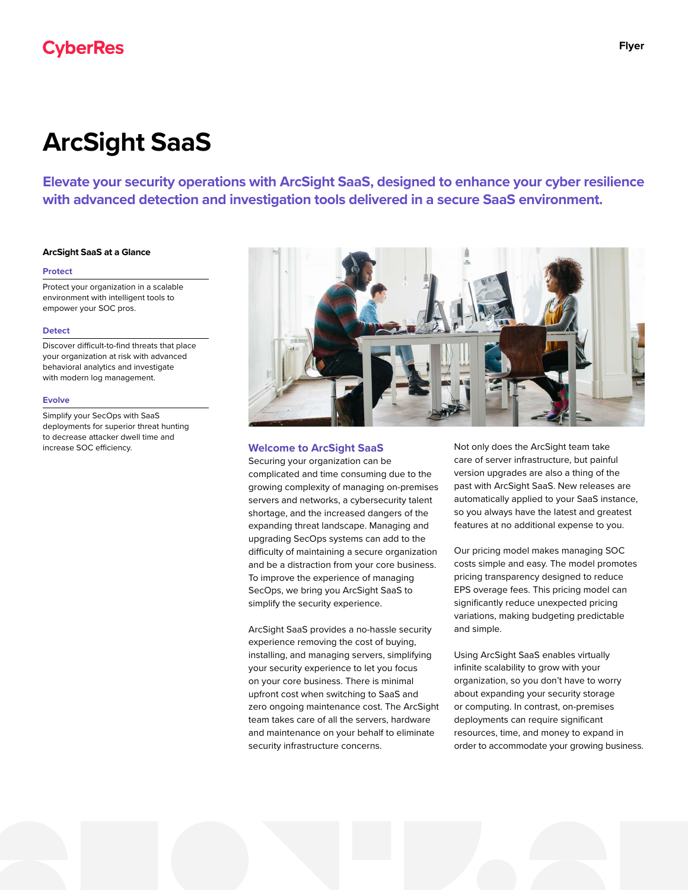# **CyberRes**

# **ArcSight SaaS**

**Elevate your security operations with ArcSight SaaS, designed to enhance your cyber resilience with advanced detection and investigation tools delivered in a secure SaaS environment.**

# **ArcSight SaaS at a Glance**

#### **Protect**

Protect your organization in a scalable environment with intelligent tools to empower your SOC pros.

#### **Detect**

Discover difficult-to-find threats that place your organization at risk with advanced behavioral analytics and investigate with modern log management.

#### **Evolve**

Simplify your SecOps with SaaS deployments for superior threat hunting to decrease attacker dwell time and increase SOC efficiency.



# **Welcome to ArcSight SaaS**

Securing your organization can be complicated and time consuming due to the growing complexity of managing on-premises servers and networks, a cybersecurity talent shortage, and the increased dangers of the expanding threat landscape. Managing and upgrading SecOps systems can add to the difficulty of maintaining a secure organization and be a distraction from your core business. To improve the experience of managing SecOps, we bring you ArcSight SaaS to simplify the security experience.

ArcSight SaaS provides a no-hassle security experience removing the cost of buying, installing, and managing servers, simplifying your security experience to let you focus on your core business. There is minimal upfront cost when switching to SaaS and zero ongoing maintenance cost. The ArcSight team takes care of all the servers, hardware and maintenance on your behalf to eliminate security infrastructure concerns.

Not only does the ArcSight team take care of server infrastructure, but painful version upgrades are also a thing of the past with ArcSight SaaS. New releases are automatically applied to your SaaS instance, so you always have the latest and greatest features at no additional expense to you.

Our pricing model makes managing SOC costs simple and easy. The model promotes pricing transparency designed to reduce EPS overage fees. This pricing model can significantly reduce unexpected pricing variations, making budgeting predictable and simple.

Using ArcSight SaaS enables virtually infinite scalability to grow with your organization, so you don't have to worry about expanding your security storage or computing. In contrast, on-premises deployments can require significant resources, time, and money to expand in order to accommodate your growing business.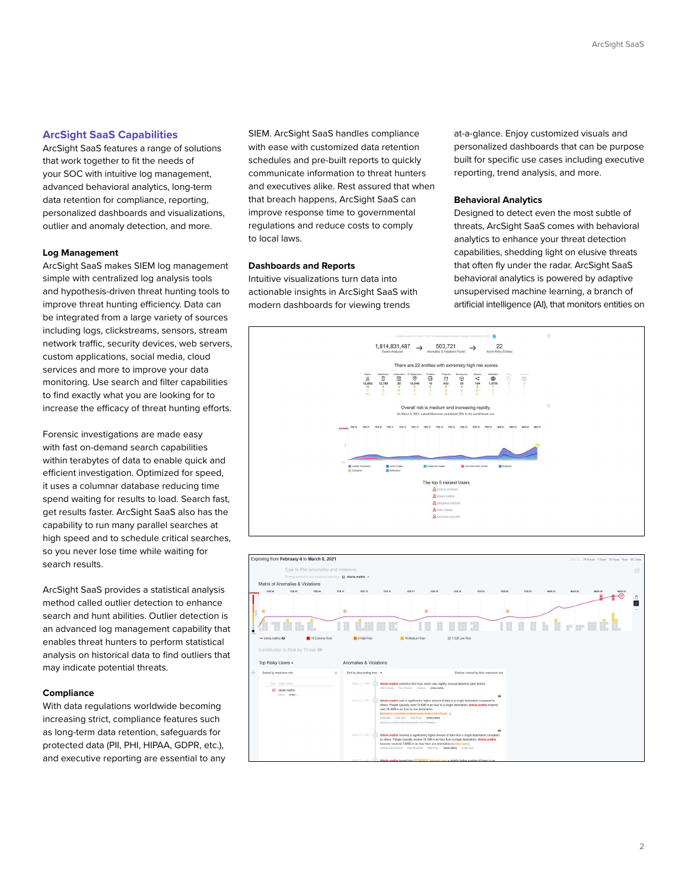# **ArcSight SaaS Capabilities**

ArcSight SaaS features a range of solutions that work together to fit the needs of your SOC with intuitive log management, advanced behavioral analytics, long-term data retention for compliance, reporting, personalized dashboards and visualizations, outlier and anomaly detection, and more.

#### **Log Management**

ArcSight SaaS makes SIEM log management simple with centralized log analysis tools and hypothesis-driven threat hunting tools to improve threat hunting efficiency. Data can be integrated from a large variety of sources including logs, clickstreams, sensors, stream network traffic, security devices, web servers, custom applications, social media, cloud services and more to improve your data monitoring. Use search and filter capabilities to find exactly what you are looking for to increase the efficacy of threat hunting efforts.

Forensic investigations are made easy with fast on-demand search capabilities within terabytes of data to enable quick and efficient investigation. Optimized for speed, it uses a columnar database reducing time spend waiting for results to load. Search fast, get results faster. ArcSight SaaS also has the capability to run many parallel searches at high speed and to schedule critical searches, so you never lose time while waiting for search results.

ArcSight SaaS provides a statistical analysis method called outlier detection to enhance search and hunt abilities. Outlier detection is an advanced log management capability that enables threat hunters to perform statistical analysis on historical data to find outliers that may indicate potential threats.

### **Compliance**

With data regulations worldwide becoming increasing strict, compliance features such as long-term data retention, safeguards for protected data (PII, PHI, HIPAA, GDPR, etc.), and executive reporting are essential to any SIEM. ArcSight SaaS handles compliance with ease with customized data retention schedules and pre-built reports to quickly communicate information to threat hunters and executives alike. Rest assured that when that breach happens, ArcSight SaaS can improve response time to governmental regulations and reduce costs to comply to local laws.

#### **Dashboards and Reports**

Intuitive visualizations turn data into actionable insights in ArcSight SaaS with modern dashboards for viewing trends

at-a-glance. Enjoy customized visuals and personalized dashboards that can be purpose built for specific use cases including executive reporting, trend analysis, and more.

#### **Behavioral Analytics**

Designed to detect even the most subtle of threats, ArcSight SaaS comes with behavioral analytics to enhance your threat detection capabilities, shedding light on elusive threats that often fly under the radar. ArcSight SaaS behavioral analytics is powered by adaptive unsupervised machine learning, a branch of artificial intelligence (AI), that monitors entities on